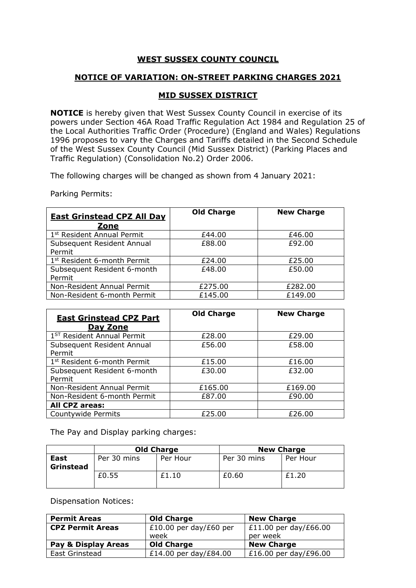## **WEST SUSSEX COUNTY COUNCIL**

## **NOTICE OF VARIATION: ON-STREET PARKING CHARGES 2021**

## **MID SUSSEX DISTRICT**

**NOTICE** is hereby given that West Sussex County Council in exercise of its powers under Section 46A Road Traffic Regulation Act 1984 and Regulation 25 of the Local Authorities Traffic Order (Procedure) (England and Wales) Regulations 1996 proposes to vary the Charges and Tariffs detailed in the Second Schedule of the West Sussex County Council (Mid Sussex District) (Parking Places and Traffic Regulation) (Consolidation No.2) Order 2006.

The following charges will be changed as shown from 4 January 2021:

Parking Permits:

| <b>East Grinstead CPZ All Day</b><br>Zone | <b>Old Charge</b> | <b>New Charge</b> |
|-------------------------------------------|-------------------|-------------------|
| 1 <sup>st</sup> Resident Annual Permit    | £44.00            | £46.00            |
| Subsequent Resident Annual<br>Permit      | £88.00            | £92.00            |
| 1 <sup>st</sup> Resident 6-month Permit   | £24.00            | £25.00            |
| Subsequent Resident 6-month<br>Permit     | £48.00            | £50.00            |
| Non-Resident Annual Permit                | £275.00           | £282.00           |
| Non-Resident 6-month Permit               | £145.00           | £149.00           |

| <b>East Grinstead CPZ Part</b><br><b>Day Zone</b> | <b>Old Charge</b> | <b>New Charge</b> |
|---------------------------------------------------|-------------------|-------------------|
| 1 <sup>ST</sup> Resident Annual Permit            | £28.00            | £29.00            |
| Subsequent Resident Annual<br>Permit              | £56.00            | £58.00            |
| 1 <sup>st</sup> Resident 6-month Permit           | £15.00            | £16.00            |
| Subsequent Resident 6-month<br>Permit             | £30.00            | £32.00            |
| Non-Resident Annual Permit                        | £165.00           | £169.00           |
| Non-Resident 6-month Permit                       | £87.00            | £90.00            |
| <b>All CPZ areas:</b>                             |                   |                   |
| Countywide Permits                                | £25.00            | £26.00            |

The Pay and Display parking charges:

|           | <b>Old Charge</b> |          | <b>New Charge</b> |          |
|-----------|-------------------|----------|-------------------|----------|
| East      | Per 30 mins       | Per Hour | Per 30 mins       | Per Hour |
| Grinstead |                   |          |                   |          |
|           | £0.55             | £1.10    | £0.60             | £1.20    |
|           |                   |          |                   |          |

Dispensation Notices:

| <b>Permit Areas</b>     | <b>Old Charge</b>      | <b>New Charge</b>       |
|-------------------------|------------------------|-------------------------|
| <b>CPZ Permit Areas</b> | £10.00 per day/£60 per | $E11.00$ per day/£66.00 |
|                         | week                   | per week                |
| Pay & Display Areas     | <b>Old Charge</b>      | <b>New Charge</b>       |
| East Grinstead          | £14.00 per day/£84.00  | £16.00 per day/£96.00   |